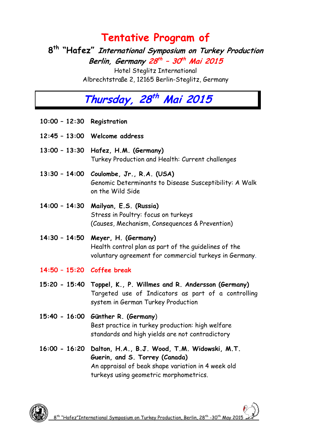### **Tentative Program of**

**8 th "Hafez" International Symposium on Turkey Production Berlin, Germany 28 th – 30 th Mai 2015**

Hotel Steglitz International Albrechtstraße 2, 12165 Berlin-Steglitz, Germany

# **Thursday, 28 th Mai 2015**

- **10:00 – 12:30 Registration**
- **12:45 – 13:00 Welcome address**
- **13:00 – 13:30 Hafez, H.M. (Germany)** Turkey Production and Health: Current challenges
- **13:30 – 14:00 Coulombe, Jr., R.A. (USA)** Genomic Determinants to Disease Susceptibility: A Walk on the Wild Side
- **14:00 – 14:30 Mailyan, E.S. (Russia)** Stress in Poultry: focus on turkeys (Causes, Mechanism, Consequences & Prevention)

**14:30 – 14:50 Meyer, H. (Germany)** Health control plan as part of the guidelines of the voluntary agreement for commercial turkeys in Germany.

- **14:50 – 15:20 Coffee break**
- **15:20 - 15:40 Toppel, K., P. Willmes and R. Andersson (Germany)** Targeted use of Indicators as part of a controlling system in German Turkey Production
- **15:40 - 16:00 Günther R. (Germany**) Best practice in turkey production: high welfare standards and high yields are not contradictory
- **16:00 - 16:20 Dalton, H.A., B.J. Wood, T.M. Widowski, M.T. Guerin, and S. Torrey (Canada)**  An appraisal of beak shape variation in 4 week old turkeys using geometric morphometrics.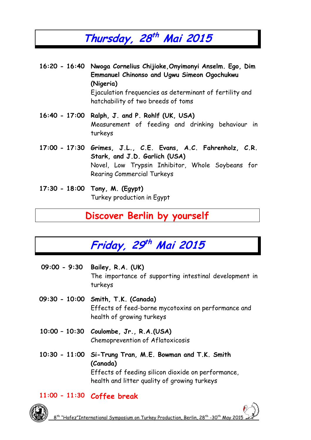## **Thursday, 28 th Mai 2015**

- **16:20 - 16:40 Nwoga Cornelius Chijioke,Onyimonyi Anselm. Ego, Dim Emmanuel Chinonso and Ugwu Simeon Ogochukwu (Nigeria)**  Ejaculation frequencies as determinant of fertility and hatchability of two breeds of toms
- **16:40 - 17:00 Ralph, J. and P. Rohlf (UK, USA)** Measurement of feeding and drinking behaviour in turkeys
- **17:00 - 17:30 Grimes, J.L., C.E. Evans, A.C. Fahrenholz, C.R. Stark, and J.D. Garlich (USA)**  Novel, Low Trypsin Inhibitor, Whole Soybeans for Rearing Commercial Turkeys
- **17:30 - 18:00 Tony, M. (Egypt)** Turkey production in Egypt

#### **Discover Berlin by yourself**



- **09:00 - 9:30 Bailey, R.A. (UK)** The importance of supporting intestinal development in turkeys
- **09:30 - 10:00 Smith, T.K. (Canada)** Effects of feed-borne mycotoxins on performance and health of growing turkeys
- **10:00 – 10:30 Coulombe, Jr., R.A.(USA)** Chemoprevention of Aflatoxicosis
- **10:30 - 11:00 Si-Trung Tran, M.E. Bowman and T.K. Smith (Canada)**  Effects of feeding silicon dioxide on performance, health and litter quality of growing turkeys

#### **11:00 - 11:30 Coffee break**

8 th "Hafez"International Symposium on Turkey Production, Berlin, 28th -30th May 2015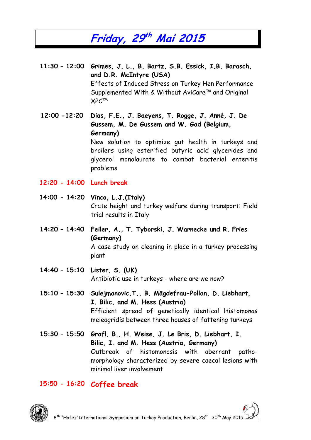### **Friday, 29 th Mai 2015**

**11:30 – 12:00 Grimes, J. L., B. Bartz, S.B. Essick, I.B. Barasch, and D.R. McIntyre (USA)**  Effects of Induced Stress on Turkey Hen Performance Supplemented With & Without AviCare™ and Original XPC™

**12:00 -12:20 Dias, F.E., J. Baeyens, T. Rogge, J. Anné, J. De Gussem, M. De Gussem and W. Gad (Belgium, Germany)**  New solution to optimize gut health in turkeys and broilers using esterified butyric acid glycerides and glycerol monolaurate to combat bacterial enteritis

**12:20 - 14:00 Lunch break**

problems

- **14:00 - 14:20 Vinco, L.J.(Italy)** Crate height and turkey welfare during transport: Field trial results in Italy
- **14:20 – 14:40 Feiler, A., T. Tyborski, J. Warnecke und R. Fries (Germany)**  A case study on cleaning in place in a turkey processing plant
- **14:40 – 15:10 Lister, S. (UK)** Antibiotic use in turkeys - where are we now?
- **15:10 – 15:30 Sulejmanovic,T., B. Mägdefrau-Pollan, D. Liebhart, I. Bilic, and M. Hess (Austria)**  Efficient spread of genetically identical Histomonas meleagridis between three houses of fattening turkeys
- **15:30 – 15:50 Grafl, B., H. Weise, J. Le Bris, D. Liebhart, I. Bilic, I. and M. Hess (Austria, Germany)**  Outbreak of histomonosis with aberrant pathomorphology characterized by severe caecal lesions with minimal liver involvement

#### **15:50 - 16:20 Coffee break**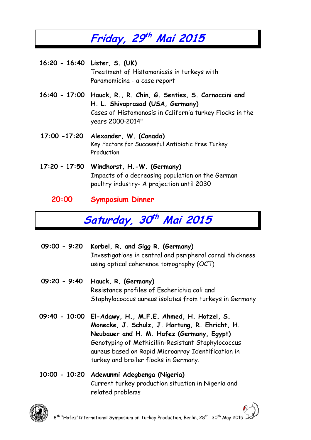# **Friday, 29 th Mai 2015**

**16:20 - 16:40 Lister, S. (UK)** Treatment of Histomoniasis in turkeys with Paramomicina - a case report

- **16:40 - 17:00 Hauck, R., R. Chin, G. Senties, S. Carnaccini and H. L. Shivaprasad (USA, Germany)**  Cases of Histomonosis in California turkey Flocks in the years 2000‐2014"
- **17:00 -17:20 Alexander, W. (Canada)** Key Factors for Successful Antibiotic Free Turkey Production
- **17:20 – 17:50 Windhorst, H.-W. (Germany)** Impacts of a decreasing population on the German poultry industry- A projection until 2030
	- **20:00 Symposium Dinner**

# **Saturday, 30 th Mai 2015**

- **09:00 - 9:20 Korbel, R. and Sigg R. (Germany)** Investigations in central and peripheral cornal thickness using optical coherence tomography (OCT)
- **09:20 - 9:40 Hauck, R. (Germany)** Resistance profiles of Escherichia coli and Staphylococcus aureus isolates from turkeys in Germany
- **09:40 - 10:00 El-Adawy, H., M.F.E. Ahmed, H. Hotzel, S. Monecke, J. Schulz, J. Hartung, R. Ehricht, H. Neubauer and H. M. Hafez (Germany, Egypt)**  Genotyping of Methicillin-Resistant Staphylococcus aureus based on Rapid Microarray Identification in turkey and broiler flocks in Germany.
- **10:00 - 10:20 Adewunmi Adegbenga (Nigeria)** Current turkey production situation in Nigeria and related problems